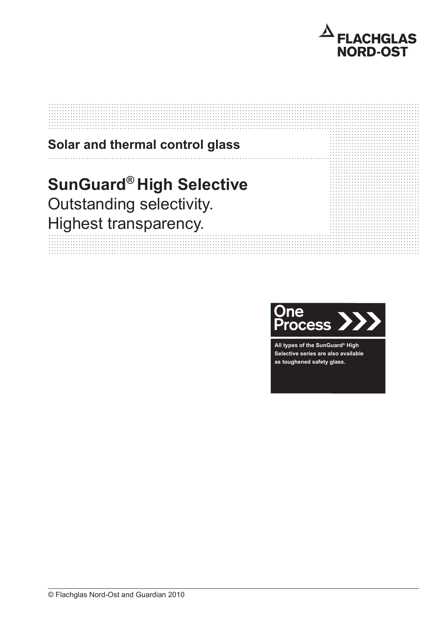

# Solar and thermal control glass **SunGuard® High Selective** Outstanding selectivity. Highest transparency.



All types of the SunGuard® High Selective series are also available as toughened safety glass.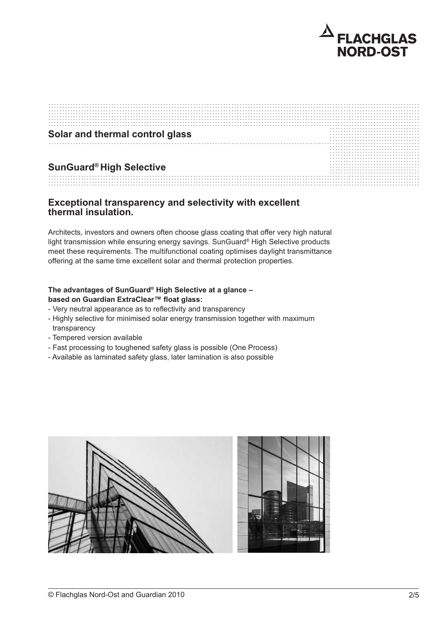

| Solar and thermal control glass |  |
|---------------------------------|--|
|                                 |  |
|                                 |  |
|                                 |  |
|                                 |  |
|                                 |  |
|                                 |  |
|                                 |  |
|                                 |  |
|                                 |  |
|                                 |  |
| <b>SunGuard® High Selective</b> |  |
|                                 |  |
|                                 |  |
|                                 |  |
|                                 |  |
|                                 |  |

## Exceptional transparency and selectivity with excellent thermal insulation.

Architects, investors and owners often choose glass coating that offer very high natural light transmission while ensuring energy savings. SunGuard® High Selective products meet these requirements. The multifunctional coating optimises daylight transmittance offering at the same time excellent solar and thermal protection properties.

### The advantages of SunGuard® High Selective at a glance based on Guardian ExtraClear™ float glass:

- Very neutral appearance as to reflectivity and transparency
- Highly selective for minimised solar energy transmission together with maximum transparency
- Tempered version available
- Fast processing to toughened safety glass is possible (One Process)
- Available as laminated safety glass, later lamination is also possible

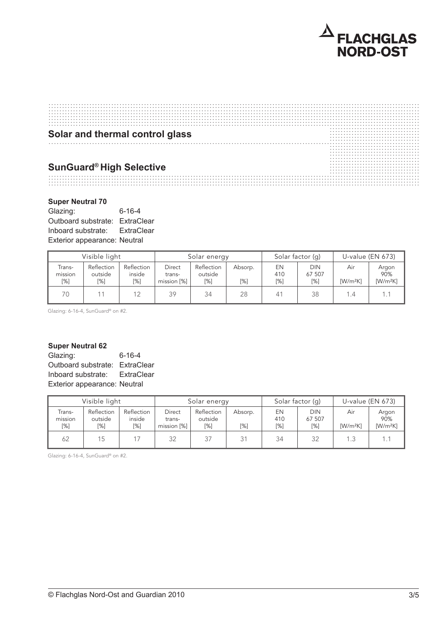

| Solar and thermal control glass |   |
|---------------------------------|---|
|                                 |   |
|                                 |   |
|                                 |   |
|                                 |   |
|                                 |   |
|                                 |   |
|                                 |   |
|                                 |   |
|                                 | . |
| <b>SunGuard® High Selective</b> |   |
|                                 |   |
|                                 |   |
|                                 |   |
|                                 |   |
|                                 |   |
|                                 |   |
|                                 |   |
|                                 |   |
|                                 |   |
|                                 |   |

#### **Super Neutral 70** Super Neutral 70

Glazing: 6-16-4 Outboard substrate: ExtraClear Inboard substrate: ExtraClear mboard substrate. Extractiear<br>Exterior appearance: Neutral

|                          | .                            |                             |                                        |                              |                |                  |                                |                    |                            |
|--------------------------|------------------------------|-----------------------------|----------------------------------------|------------------------------|----------------|------------------|--------------------------------|--------------------|----------------------------|
| Visible light            |                              |                             | Solar energy                           |                              |                | Solar factor (g) |                                | U-value $(EN 673)$ |                            |
| Trans-<br>mission<br>[%] | Reflection<br>outside<br>[%] | Reflection<br>inside<br>[%] | <b>Direct</b><br>trans-<br>mission [%] | Reflection<br>outside<br>[%] | Absorp.<br>[%] | EN<br>410<br>[%] | <b>DIN</b><br>67 507<br>$[\%]$ | Air<br>$[W/m^2K]$  | Argon<br>90%<br>$[W/m^2K]$ |
| 70                       |                              | 12                          | 39                                     | 34                           | 28             | 41               | 38                             | 1.4                |                            |

Glazing: 6-16-4, SunGuard® on #2.

#### Super Neutral 62 super neutral 62

Glazing: 6-16-4 Outboard substrate: ExtraClear Inboard substrate: ExtraClear Exterior appearance: Neutral

|                          | Visible light                |                             |                                 | Solar energy                 |                |                  | Solar factor (q)        |                   | U-value $(EN 673)$         |
|--------------------------|------------------------------|-----------------------------|---------------------------------|------------------------------|----------------|------------------|-------------------------|-------------------|----------------------------|
| Trans-<br>mission<br>[%] | Reflection<br>outside<br>[%] | Reflection<br>inside<br>[%] | Direct<br>trans-<br>mission [%] | Reflection<br>outside<br>[%] | Absorp.<br>[%] | EN<br>410<br>[%] | DIN<br>67 507<br>$[\%]$ | Air<br>$[W/m^2K]$ | Argon<br>90%<br>$[W/m^2K]$ |
| 62                       | 15                           |                             | 32                              | 37                           | 21             | 34               | 32                      | 1.3               |                            |

Glazing: 6-16-4, SunGuard® on #2.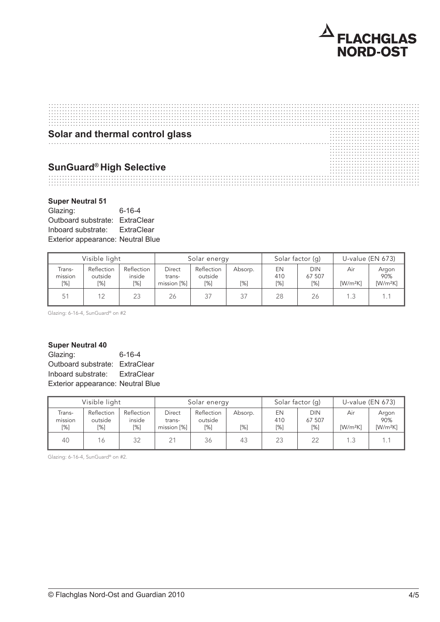

| Solar and thermal control glass |  |
|---------------------------------|--|
|                                 |  |
|                                 |  |
|                                 |  |
|                                 |  |
|                                 |  |
|                                 |  |
|                                 |  |
|                                 |  |
|                                 |  |
|                                 |  |
|                                 |  |
|                                 |  |
|                                 |  |
|                                 |  |
| <b>SunGuard® High Selective</b> |  |
|                                 |  |
|                                 |  |
|                                 |  |
|                                 |  |
|                                 |  |
|                                 |  |

## **Super Neutral 51**

Glazing: 6-16-4 Outboard substrate: ExtraClear Inboard substrate: ExtraClear Exterior appearance: Latitudical<br>Exterior appearance: Neutral Blue , sapor nounar o r High light transmission Julbuaru substra

| Visible light               |                              |                             | Solar energy                           |                              |                   | Solar factor (g) |                                | U-value $(EN 673)$ |                            |
|-----------------------------|------------------------------|-----------------------------|----------------------------------------|------------------------------|-------------------|------------------|--------------------------------|--------------------|----------------------------|
| Trans-<br>mission<br>$[\%]$ | Reflection<br>outside<br>[%] | Reflection<br>inside<br>[%] | <b>Direct</b><br>trans-<br>mission [%] | Reflection<br>outside<br>[%] | Absorp.<br>$[\%]$ | EN<br>410<br>[%] | <b>DIN</b><br>67 507<br>$[\%]$ | Air<br>$[W/m^2K]$  | Argon<br>90%<br>$[W/m^2K]$ |
| 51                          | 12                           | 23                          | 26                                     | 37                           | 37                | 28               | 26                             | 1.3                |                            |

Glazing: 6-16-4, SunGuard® on #2

# **Super Neutral 40**

Glazing: 6-16-4 Outboard substrate: ExtraClear Inboard substrate: ExtraClear Exterior appearance: Neutral Blue paper neatral 40 High light transmission Julboard substra

|                          | Visible light                |                             |                                 | Solar energy                 |                | Solar factor (g) |                      |                                            | U-value (EN 673)           |
|--------------------------|------------------------------|-----------------------------|---------------------------------|------------------------------|----------------|------------------|----------------------|--------------------------------------------|----------------------------|
| Trans-<br>mission<br>[%] | Reflection<br>outside<br>[%] | Reflection<br>inside<br>[%] | Direct<br>trans-<br>mission [%] | Reflection<br>outside<br>[%] | Absorp.<br>[%] | EN<br>410<br>[%] | DIN<br>67 507<br>[%] | Air<br>$\left[\text{W/m}^2\text{K}\right]$ | Argon<br>90%<br>$[W/m^2K]$ |
| 40                       | 16                           | 32                          | 21                              | 36                           | 43             | 23               | 22                   | 1.3                                        |                            |

Glazing: 6-16-4, SunGuard® on #2.